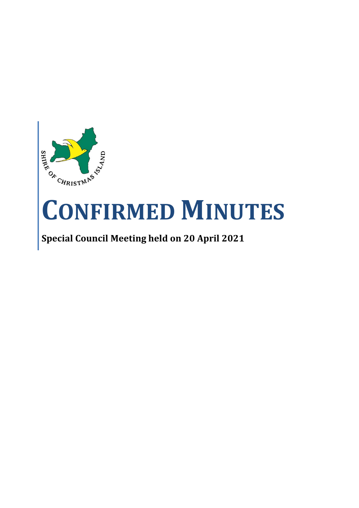

# **CONFIRMED MINUTES**

# **Special Council Meeting held on 20 April 2021**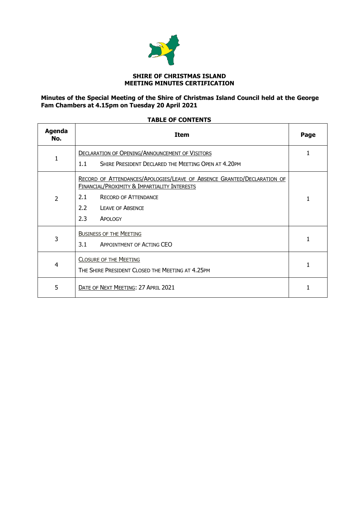

#### **SHIRE OF CHRISTMAS ISLAND MEETING MINUTES CERTIFICATION**

## **Minutes of the Special Meeting of the Shire of Christmas Island Council held at the George Fam Chambers at 4.15pm on Tuesday 20 April 2021**

### **TABLE OF CONTENTS**

| Agenda<br>No.  | <b>Item</b>                                                                                                                                                                                                       | Page |
|----------------|-------------------------------------------------------------------------------------------------------------------------------------------------------------------------------------------------------------------|------|
| $\mathbf{1}$   | <b>DECLARATION OF OPENING/ANNOUNCEMENT OF VISITORS</b><br>SHIRE PRESIDENT DECLARED THE MEETING OPEN AT 4.20PM<br>1.1                                                                                              | 1    |
| $\overline{2}$ | RECORD OF ATTENDANCES/APOLOGIES/LEAVE OF ABSENCE GRANTED/DECLARATION OF<br>FINANCIAL/PROXIMITY & IMPARTIALITY INTERESTS<br><b>RECORD OF ATTENDANCE</b><br>2.1<br>2.2<br><b>LEAVE OF ABSENCE</b><br>2.3<br>APOLOGY | 1    |
| 3              | <b>BUSINESS OF THE MEETING</b><br>3.1<br>APPOINTMENT OF ACTING CEO                                                                                                                                                |      |
| $\overline{4}$ | <b>CLOSURE OF THE MEETING</b><br>THE SHIRE PRESIDENT CLOSED THE MEETING AT 4.25PM                                                                                                                                 |      |
| 5              | DATE OF NEXT MEETING: 27 APRIL 2021                                                                                                                                                                               | 1    |